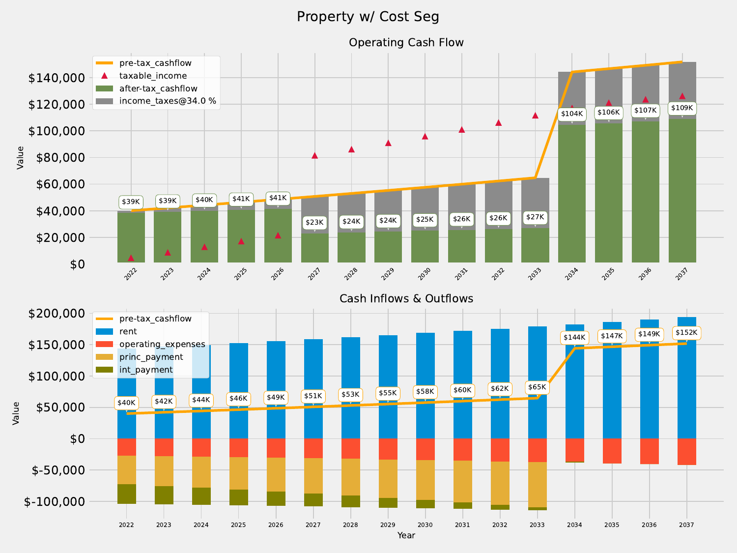## Property w/ Cost Seg